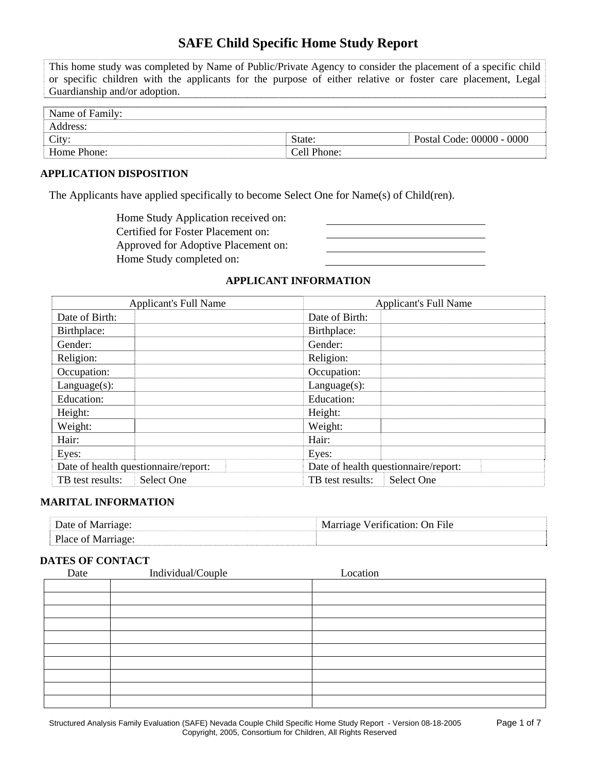# **SAFE Child Specific Home Study Report**

This home study was completed by Name of Public/Private Agency to consider the placement of a specific child or specific children with the applicants for the purpose of either relative or foster care placement, Legal Guardianship and/or adoption.

| Name of Family: |             |                           |
|-----------------|-------------|---------------------------|
| Address:        |             |                           |
| City:           | State:      | Postal Code: 00000 - 0000 |
| Home Phone:     | Cell Phone: |                           |

# **APPLICATION DISPOSITION**

The Applicants have applied specifically to become Select One for Name(s) of Child(ren).

Home Study Application received on: Certified for Foster Placement on: Approved for Adoptive Placement on: Home Study completed on:

# **APPLICANT INFORMATION**

| <b>Applicant's Full Name</b>         | <b>Applicant's Full Name</b>         |  |  |
|--------------------------------------|--------------------------------------|--|--|
| Date of Birth:                       | Date of Birth:                       |  |  |
| Birthplace:                          | Birthplace:                          |  |  |
| Gender:                              | Gender:                              |  |  |
| Religion:                            | Religion:                            |  |  |
| Occupation:                          | Occupation:                          |  |  |
| $Language(s)$ :                      | $Language(s)$ :                      |  |  |
| Education:                           | Education:                           |  |  |
| Height:                              | Height:                              |  |  |
| Weight:                              | Weight:                              |  |  |
| Hair:                                | Hair:                                |  |  |
| Eyes:                                | Eyes:                                |  |  |
| Date of health questionnaire/report: | Date of health questionnaire/report: |  |  |
| TB test results:<br>Select One       | Select One<br>TB test results:       |  |  |

#### **MARITAL INFORMATION**

| Date of         | $\sim$ Verification $\cap$<br>On File |
|-----------------|---------------------------------------|
| Place of Marria |                                       |

#### **DATES OF CONTACT**

| Date | Individual/Couple | Location |  |
|------|-------------------|----------|--|
|      |                   |          |  |
|      |                   |          |  |
|      |                   |          |  |
|      |                   |          |  |
|      |                   |          |  |
|      |                   |          |  |
|      |                   |          |  |
|      |                   |          |  |
|      |                   |          |  |
|      |                   |          |  |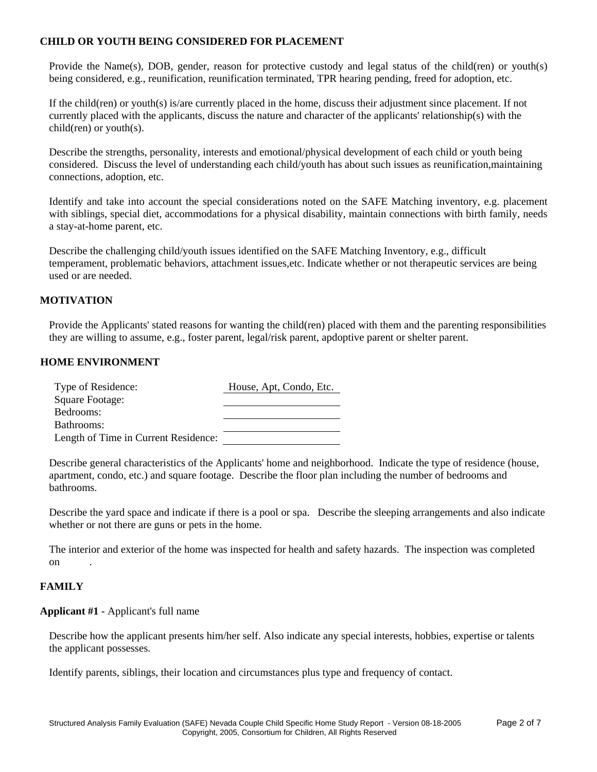# **CHILD OR YOUTH BEING CONSIDERED FOR PLACEMENT**

Provide the Name(s), DOB, gender, reason for protective custody and legal status of the child(ren) or youth(s) being considered, e.g., reunification, reunification terminated, TPR hearing pending, freed for adoption, etc.

If the child(ren) or youth(s) is/are currently placed in the home, discuss their adjustment since placement. If not currently placed with the applicants, discuss the nature and character of the applicants' relationship(s) with the child(ren) or youth(s).

Describe the strengths, personality, interests and emotional/physical development of each child or youth being considered. Discuss the level of understanding each child/youth has about such issues as reunification,maintaining connections, adoption, etc.

Identify and take into account the special considerations noted on the SAFE Matching inventory, e.g. placement with siblings, special diet, accommodations for a physical disability, maintain connections with birth family, needs a stay-at-home parent, etc.

Describe the challenging child/youth issues identified on the SAFE Matching Inventory, e.g., difficult temperament, problematic behaviors, attachment issues,etc. Indicate whether or not therapeutic services are being used or are needed.

# **MOTIVATION**

Provide the Applicants' stated reasons for wanting the child(ren) placed with them and the parenting responsibilities they are willing to assume, e.g., foster parent, legal/risk parent, apdoptive parent or shelter parent.

# **HOME ENVIRONMENT**

| Type of Residence:                   | House, Apt, Condo, Etc. |
|--------------------------------------|-------------------------|
| Square Footage:                      |                         |
| Bedrooms:                            |                         |
| Bathrooms:                           |                         |
| Length of Time in Current Residence: |                         |

Describe general characteristics of the Applicants' home and neighborhood. Indicate the type of residence (house, apartment, condo, etc.) and square footage. Describe the floor plan including the number of bedrooms and bathrooms.

Describe the yard space and indicate if there is a pool or spa. Describe the sleeping arrangements and also indicate whether or not there are guns or pets in the home.

The interior and exterior of the home was inspected for health and safety hazards. The inspection was completed on .

### **FAMILY**

#### **Applicant #1** - Applicant's full name

Describe how the applicant presents him/her self. Also indicate any special interests, hobbies, expertise or talents the applicant possesses.

Identify parents, siblings, their location and circumstances plus type and frequency of contact.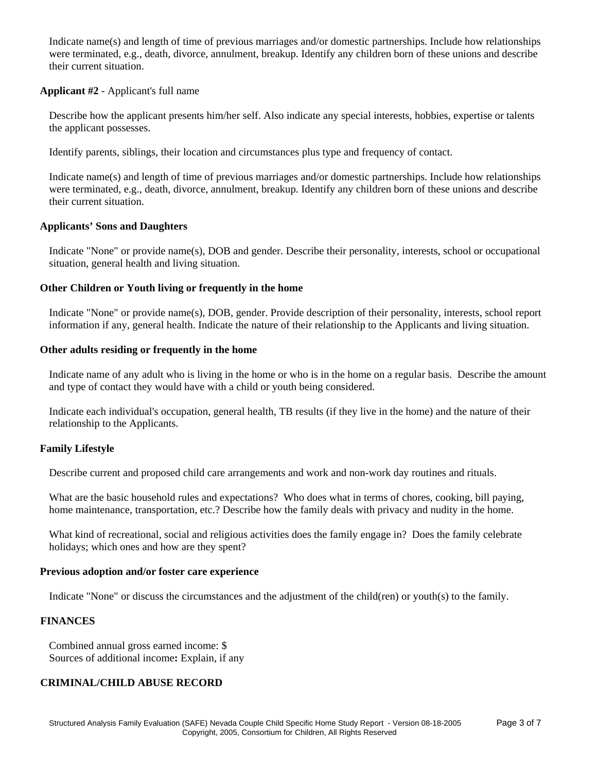Indicate name(s) and length of time of previous marriages and/or domestic partnerships. Include how relationships were terminated, e.g., death, divorce, annulment, breakup. Identify any children born of these unions and describe their current situation.

# **Applicant #2** - Applicant's full name

Describe how the applicant presents him/her self. Also indicate any special interests, hobbies, expertise or talents the applicant possesses.

Identify parents, siblings, their location and circumstances plus type and frequency of contact.

Indicate name(s) and length of time of previous marriages and/or domestic partnerships. Include how relationships were terminated, e.g., death, divorce, annulment, breakup. Identify any children born of these unions and describe their current situation.

# **Applicants' Sons and Daughters**

Indicate "None" or provide name(s), DOB and gender. Describe their personality, interests, school or occupational situation, general health and living situation.

# **Other Children or Youth living or frequently in the home**

Indicate "None" or provide name(s), DOB, gender. Provide description of their personality, interests, school report information if any, general health. Indicate the nature of their relationship to the Applicants and living situation.

# **Other adults residing or frequently in the home**

Indicate name of any adult who is living in the home or who is in the home on a regular basis. Describe the amount and type of contact they would have with a child or youth being considered.

Indicate each individual's occupation, general health, TB results (if they live in the home) and the nature of their relationship to the Applicants.

# **Family Lifestyle**

Describe current and proposed child care arrangements and work and non-work day routines and rituals.

What are the basic household rules and expectations? Who does what in terms of chores, cooking, bill paying, home maintenance, transportation, etc.? Describe how the family deals with privacy and nudity in the home.

What kind of recreational, social and religious activities does the family engage in? Does the family celebrate holidays; which ones and how are they spent?

# **Previous adoption and/or foster care experience**

Indicate "None" or discuss the circumstances and the adjustment of the child(ren) or youth(s) to the family.

# **FINANCES**

Combined annual gross earned income: \$ Sources of additional income**:** Explain, if any

# **CRIMINAL/CHILD ABUSE RECORD**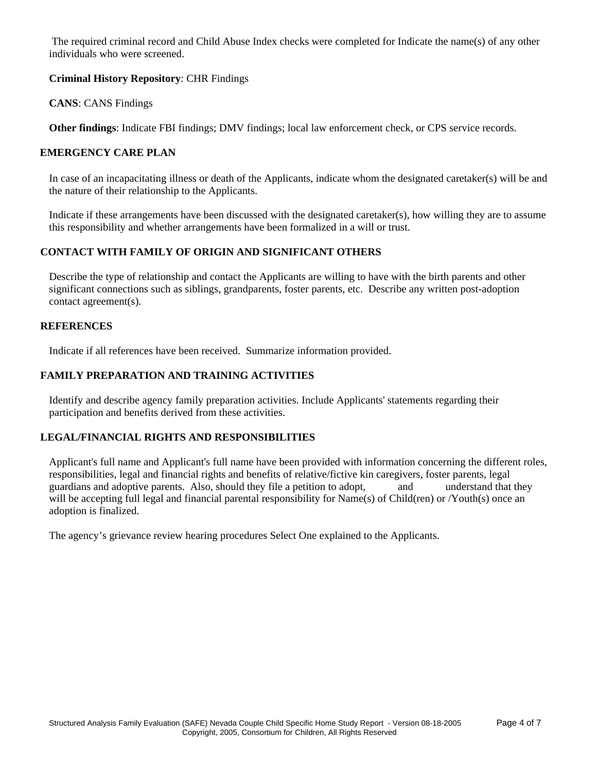The required criminal record and Child Abuse Index checks were completed for Indicate the name(s) of any other individuals who were screened.

# **Criminal History Repository**: CHR Findings

**CANS**: CANS Findings

**Other findings**: Indicate FBI findings; DMV findings; local law enforcement check, or CPS service records.

# **EMERGENCY CARE PLAN**

In case of an incapacitating illness or death of the Applicants, indicate whom the designated caretaker(s) will be and the nature of their relationship to the Applicants.

Indicate if these arrangements have been discussed with the designated caretaker(s), how willing they are to assume this responsibility and whether arrangements have been formalized in a will or trust.

# **CONTACT WITH FAMILY OF ORIGIN AND SIGNIFICANT OTHERS**

Describe the type of relationship and contact the Applicants are willing to have with the birth parents and other significant connections such as siblings, grandparents, foster parents, etc. Describe any written post-adoption contact agreement(s).

### **REFERENCES**

Indicate if all references have been received. Summarize information provided.

# **FAMILY PREPARATION AND TRAINING ACTIVITIES**

Identify and describe agency family preparation activities. Include Applicants' statements regarding their participation and benefits derived from these activities.

# **LEGAL/FINANCIAL RIGHTS AND RESPONSIBILITIES**

Applicant's full name and Applicant's full name have been provided with information concerning the different roles, responsibilities, legal and financial rights and benefits of relative/fictive kin caregivers, foster parents, legal guardians and adoptive parents. Also, should they file a petition to adopt, and understand that they will be accepting full legal and financial parental responsibility for Name(s) of Child(ren) or /Youth(s) once an adoption is finalized.

The agency's grievance review hearing procedures Select One explained to the Applicants.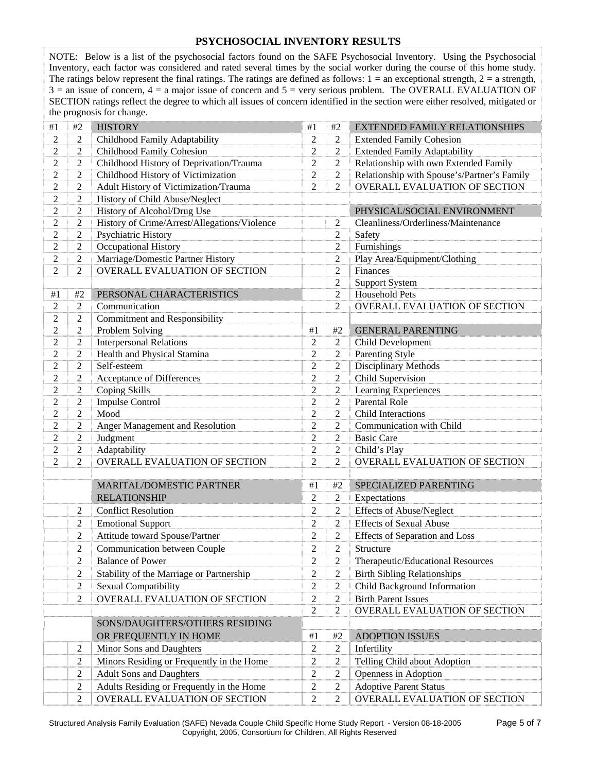### **PSYCHOSOCIAL INVENTORY RESULTS**

NOTE: Below is a list of the psychosocial factors found on the SAFE Psychosocial Inventory. Using the Psychosocial Inventory, each factor was considered and rated several times by the social worker during the course of this home study. The ratings below represent the final ratings. The ratings are defined as follows:  $1 =$  an exceptional strength,  $2 =$  a strength,  $3 =$  an issue of concern,  $4 =$  a major issue of concern and  $5 =$  very serious problem. The OVERALL EVALUATION OF SECTION ratings reflect the degree to which all issues of concern identified in the section were either resolved, mitigated or the prognosis for change.

| #1             | #2             | <b>HISTORY</b>                               | #1               | #2             | EXTENDED FAMILY RELATIONSHIPS               |
|----------------|----------------|----------------------------------------------|------------------|----------------|---------------------------------------------|
| $\overline{2}$ | 2              | Childhood Family Adaptability                | $\overline{2}$   | $\overline{2}$ | <b>Extended Family Cohesion</b>             |
| $\overline{2}$ | $\overline{c}$ | Childhood Family Cohesion                    | $\overline{2}$   | $\overline{2}$ | <b>Extended Family Adaptability</b>         |
| $\overline{2}$ | $\overline{c}$ | Childhood History of Deprivation/Trauma      | $\overline{2}$   | $\overline{2}$ | Relationship with own Extended Family       |
| $\overline{2}$ | $\overline{c}$ | Childhood History of Victimization           | $\overline{2}$   | $\overline{2}$ | Relationship with Spouse's/Partner's Family |
| $\overline{2}$ | $\overline{c}$ | Adult History of Victimization/Trauma        | $\overline{2}$   | $\overline{2}$ | <b>OVERALL EVALUATION OF SECTION</b>        |
| $\overline{2}$ | $\overline{c}$ | History of Child Abuse/Neglect               |                  |                |                                             |
| $\overline{c}$ | $\overline{c}$ | History of Alcohol/Drug Use                  |                  |                | PHYSICAL/SOCIAL ENVIRONMENT                 |
| $\overline{2}$ | $\overline{c}$ | History of Crime/Arrest/Allegations/Violence |                  | $\overline{2}$ | Cleanliness/Orderliness/Maintenance         |
| 2              | $\overline{c}$ | Psychiatric History                          |                  | $\overline{c}$ | Safety                                      |
| 2              | $\overline{c}$ | Occupational History                         |                  | $\overline{c}$ | Furnishings                                 |
| 2              | $\overline{c}$ | Marriage/Domestic Partner History            |                  | $\overline{2}$ | Play Area/Equipment/Clothing                |
| $\overline{2}$ | $\overline{2}$ | OVERALL EVALUATION OF SECTION                |                  | $\overline{c}$ | Finances                                    |
|                |                |                                              |                  | $\overline{c}$ | <b>Support System</b>                       |
| #1             | #2             | PERSONAL CHARACTERISTICS                     |                  | $\overline{c}$ | Household Pets                              |
| $\overline{2}$ | $\overline{2}$ | Communication                                |                  | $\overline{2}$ | OVERALL EVALUATION OF SECTION               |
| $\overline{2}$ | $\overline{2}$ | <b>Commitment and Responsibility</b>         |                  |                |                                             |
| $\overline{2}$ | $\overline{c}$ | Problem Solving                              | #1               | #2             | <b>GENERAL PARENTING</b>                    |
| $\overline{c}$ | $\overline{2}$ | <b>Interpersonal Relations</b>               | $\overline{2}$   | $\mathbf{2}$   | Child Development                           |
| $\overline{c}$ | $\overline{c}$ | Health and Physical Stamina                  | $\overline{2}$   | $\sqrt{2}$     | Parenting Style                             |
| $\overline{2}$ | $\overline{2}$ | Self-esteem                                  | $\overline{c}$   | $\overline{c}$ | Disciplinary Methods                        |
| 2              | $\overline{c}$ | Acceptance of Differences                    | $\overline{c}$   | $\overline{c}$ | Child Supervision                           |
| $\overline{c}$ | $\overline{c}$ | Coping Skills                                | $\overline{c}$   | $\overline{2}$ | Learning Experiences                        |
| $\overline{c}$ | $\overline{c}$ | <b>Impulse Control</b>                       | $\overline{c}$   | $\overline{c}$ | <b>Parental Role</b>                        |
| $\overline{2}$ | $\overline{c}$ | Mood                                         | $\overline{c}$   | $\overline{c}$ | Child Interactions                          |
| $\overline{2}$ | $\overline{c}$ | Anger Management and Resolution              | $\overline{c}$   | $\overline{c}$ | Communication with Child                    |
| $\overline{2}$ | $\overline{c}$ | Judgment                                     | $\overline{c}$   | $\mathbf{2}$   | <b>Basic Care</b>                           |
| $\overline{2}$ | $\overline{c}$ | Adaptability                                 | $\overline{c}$   | $\mathbf{2}$   | Child's Play                                |
| $\overline{2}$ | 2              | OVERALL EVALUATION OF SECTION                | $\overline{2}$   | $\overline{2}$ | OVERALL EVALUATION OF SECTION               |
|                |                |                                              |                  |                |                                             |
|                |                | MARITAL/DOMESTIC PARTNER                     | #1               | #2             | SPECIALIZED PARENTING                       |
|                |                | <b>RELATIONSHIP</b>                          | $\overline{2}$   | $\overline{c}$ | Expectations                                |
|                | $\overline{c}$ | <b>Conflict Resolution</b>                   | $\overline{c}$   | $\overline{c}$ | <b>Effects of Abuse/Neglect</b>             |
|                | $\overline{c}$ | <b>Emotional Support</b>                     | $\overline{2}$   | $\overline{2}$ | <b>Effects of Sexual Abuse</b>              |
|                | $\overline{c}$ | Attitude toward Spouse/Partner               | $\overline{c}$   | $\overline{c}$ | <b>Effects of Separation and Loss</b>       |
|                | $\overline{2}$ | Communication between Couple                 | $\overline{2}$   | $\overline{2}$ | Structure                                   |
|                | 2              | <b>Balance of Power</b>                      | 2                | 2              | Therapeutic/Educational Resources           |
|                | 2              | Stability of the Marriage or Partnership     | $\overline{2}$   | 2              | <b>Birth Sibling Relationships</b>          |
|                | $\overline{c}$ | Sexual Compatibility                         | $\boldsymbol{2}$ | $\overline{c}$ | Child Background Information                |
|                | $\overline{c}$ | OVERALL EVALUATION OF SECTION                | $\sqrt{2}$       | $\overline{c}$ | <b>Birth Parent Issues</b>                  |
|                |                |                                              | $\overline{2}$   | $\overline{2}$ | OVERALL EVALUATION OF SECTION               |
|                |                | SONS/DAUGHTERS/OTHERS RESIDING               |                  |                |                                             |
|                |                |                                              |                  |                |                                             |
|                |                | OR FREQUENTLY IN HOME                        | $\#1$            | #2             | <b>ADOPTION ISSUES</b>                      |
|                | 2              | Minor Sons and Daughters                     | 2                | 2              | Infertility                                 |
|                | 2              | Minors Residing or Frequently in the Home    | $\mathbf{2}$     | 2              | Telling Child about Adoption                |
|                | 2              | <b>Adult Sons and Daughters</b>              | $\overline{2}$   | 2              | Openness in Adoption                        |
|                | 2              | Adults Residing or Frequently in the Home    | $\mathbf{2}$     | 2              | <b>Adoptive Parent Status</b>               |
|                | 2              | OVERALL EVALUATION OF SECTION                | $\overline{2}$   | $\overline{c}$ | OVERALL EVALUATION OF SECTION               |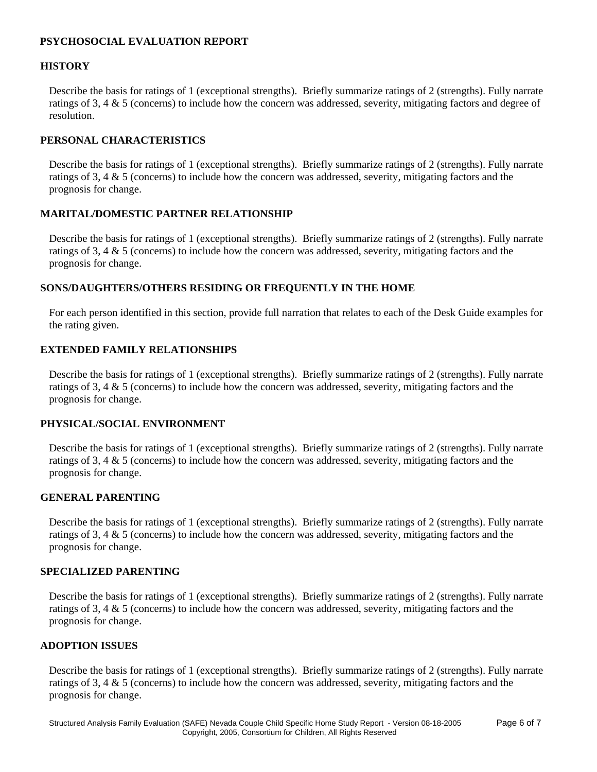### **PSYCHOSOCIAL EVALUATION REPORT**

### **HISTORY**

Describe the basis for ratings of 1 (exceptional strengths). Briefly summarize ratings of 2 (strengths). Fully narrate ratings of 3, 4 & 5 (concerns) to include how the concern was addressed, severity, mitigating factors and degree of resolution.

# **PERSONAL CHARACTERISTICS**

Describe the basis for ratings of 1 (exceptional strengths). Briefly summarize ratings of 2 (strengths). Fully narrate ratings of 3, 4 & 5 (concerns) to include how the concern was addressed, severity, mitigating factors and the prognosis for change.

### **MARITAL/DOMESTIC PARTNER RELATIONSHIP**

Describe the basis for ratings of 1 (exceptional strengths). Briefly summarize ratings of 2 (strengths). Fully narrate ratings of 3, 4 & 5 (concerns) to include how the concern was addressed, severity, mitigating factors and the prognosis for change.

### **SONS/DAUGHTERS/OTHERS RESIDING OR FREQUENTLY IN THE HOME**

For each person identified in this section, provide full narration that relates to each of the Desk Guide examples for the rating given.

### **EXTENDED FAMILY RELATIONSHIPS**

Describe the basis for ratings of 1 (exceptional strengths). Briefly summarize ratings of 2 (strengths). Fully narrate ratings of 3, 4 & 5 (concerns) to include how the concern was addressed, severity, mitigating factors and the prognosis for change.

### **PHYSICAL/SOCIAL ENVIRONMENT**

Describe the basis for ratings of 1 (exceptional strengths). Briefly summarize ratings of 2 (strengths). Fully narrate ratings of 3, 4 & 5 (concerns) to include how the concern was addressed, severity, mitigating factors and the prognosis for change.

# **GENERAL PARENTING**

Describe the basis for ratings of 1 (exceptional strengths). Briefly summarize ratings of 2 (strengths). Fully narrate ratings of 3, 4 & 5 (concerns) to include how the concern was addressed, severity, mitigating factors and the prognosis for change.

#### **SPECIALIZED PARENTING**

Describe the basis for ratings of 1 (exceptional strengths). Briefly summarize ratings of 2 (strengths). Fully narrate ratings of 3, 4 & 5 (concerns) to include how the concern was addressed, severity, mitigating factors and the prognosis for change.

# **ADOPTION ISSUES**

Describe the basis for ratings of 1 (exceptional strengths). Briefly summarize ratings of 2 (strengths). Fully narrate ratings of 3, 4 & 5 (concerns) to include how the concern was addressed, severity, mitigating factors and the prognosis for change.